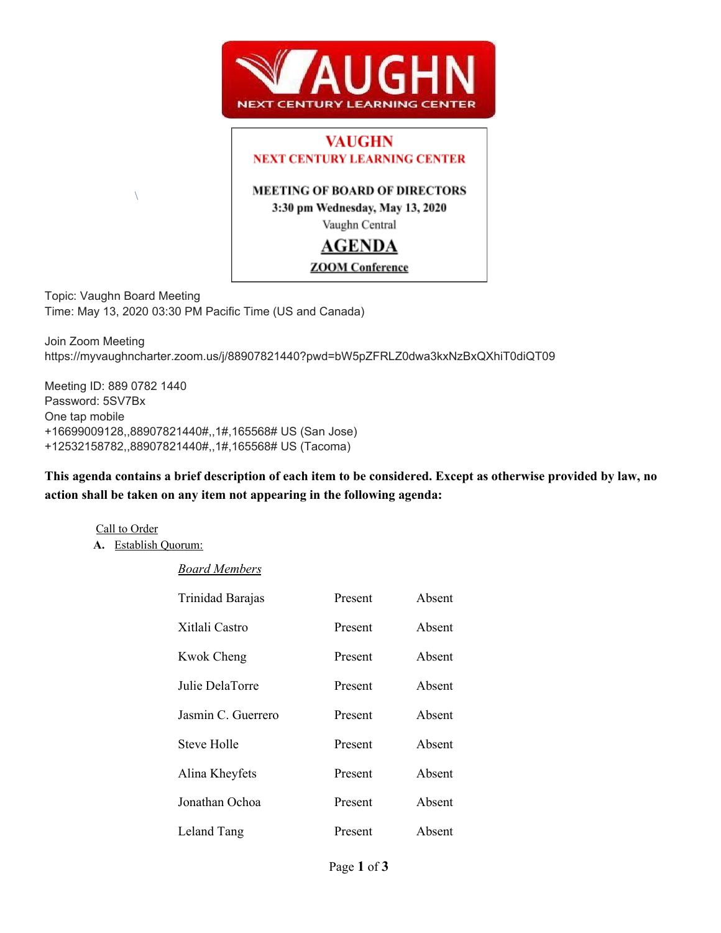



Topic: Vaughn Board Meeting Time: May 13, 2020 03:30 PM Pacific Time (US and Canada)

Join Zoom Meeting https://myvaughncharter.zoom.us/j/88907821440?pwd=bW5pZFRLZ0dwa3kxNzBxQXhiT0diQT09

Meeting ID: 889 0782 1440 Password: 5SV7Bx One tap mobile +16699009128,,88907821440#,,1#,165568# US (San Jose) +12532158782,,88907821440#,,1#,165568# US (Tacoma)

This agenda contains a brief description of each item to be considered. Except as otherwise provided by law, no **action shall be taken on any item not appearing in the following agenda:**

Call to Order **A.** Establish Quorum:

 $\setminus$ 

### *Board Members*

| Trinidad Barajas   | Present | Absent |
|--------------------|---------|--------|
| Xitlali Castro     | Present | Absent |
| <b>Kwok Cheng</b>  | Present | Absent |
| Julie DelaTorre    | Present | Absent |
| Jasmin C. Guerrero | Present | Absent |
| Steve Holle        | Present | Absent |
| Alina Kheyfets     | Present | Absent |
| Jonathan Ochoa     | Present | Absent |
| Leland Tang        | Present | Absent |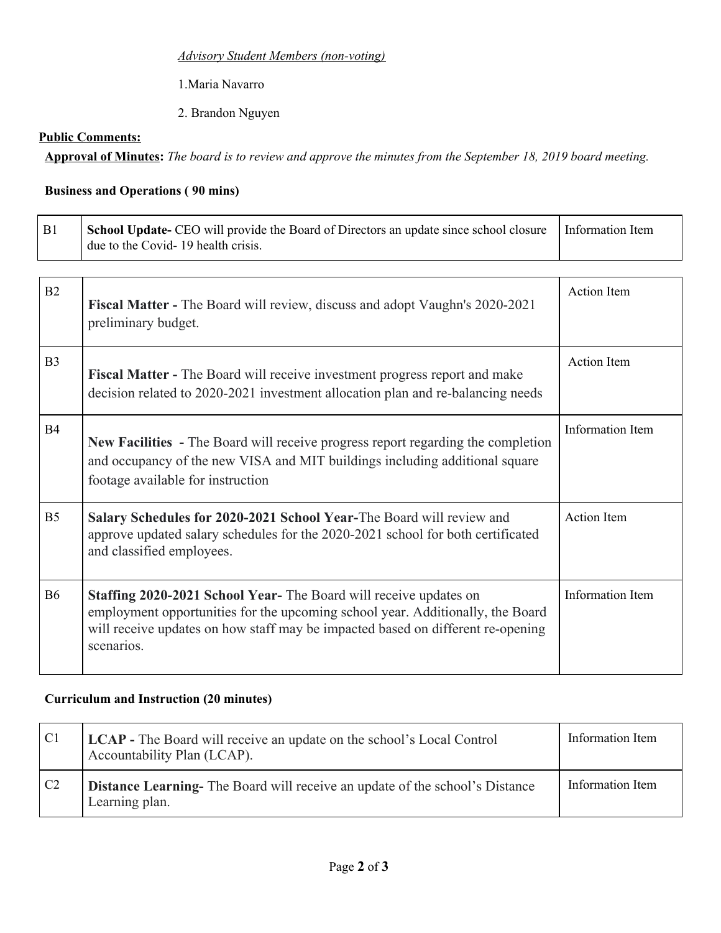### *Advisory Student Members (non-voting)*

1.Maria Navarro

2. Brandon Nguyen

## **Public Comments:**

Approval of Minutes: The board is to review and approve the minutes from the September 18, 2019 board meeting.

# **Business and Operations ( 90 mins)**

| B1             | School Update- CEO will provide the Board of Directors an update since school closure<br>due to the Covid-19 health crisis.                                                                                                                         | Information Item        |
|----------------|-----------------------------------------------------------------------------------------------------------------------------------------------------------------------------------------------------------------------------------------------------|-------------------------|
| B2             | Fiscal Matter - The Board will review, discuss and adopt Vaughn's 2020-2021<br>preliminary budget.                                                                                                                                                  | <b>Action Item</b>      |
| B <sub>3</sub> | <b>Fiscal Matter -</b> The Board will receive investment progress report and make<br>decision related to 2020-2021 investment allocation plan and re-balancing needs                                                                                | <b>Action Item</b>      |
| <b>B4</b>      | New Facilities - The Board will receive progress report regarding the completion<br>and occupancy of the new VISA and MIT buildings including additional square<br>footage available for instruction                                                | <b>Information Item</b> |
| B <sub>5</sub> | Salary Schedules for 2020-2021 School Year-The Board will review and<br>approve updated salary schedules for the 2020-2021 school for both certificated<br>and classified employees.                                                                | <b>Action</b> Item      |
| <b>B6</b>      | Staffing 2020-2021 School Year-The Board will receive updates on<br>employment opportunities for the upcoming school year. Additionally, the Board<br>will receive updates on how staff may be impacted based on different re-opening<br>scenarios. | Information Item        |

## **Curriculum and Instruction (20 minutes)**

| C <sub>1</sub> | <b>LCAP</b> - The Board will receive an update on the school's Local Control<br>Accountability Plan (LCAP). | Information Item |
|----------------|-------------------------------------------------------------------------------------------------------------|------------------|
| C <sub>2</sub> | <b>Distance Learning-</b> The Board will receive an update of the school's Distance<br>Learning plan.       | Information Item |